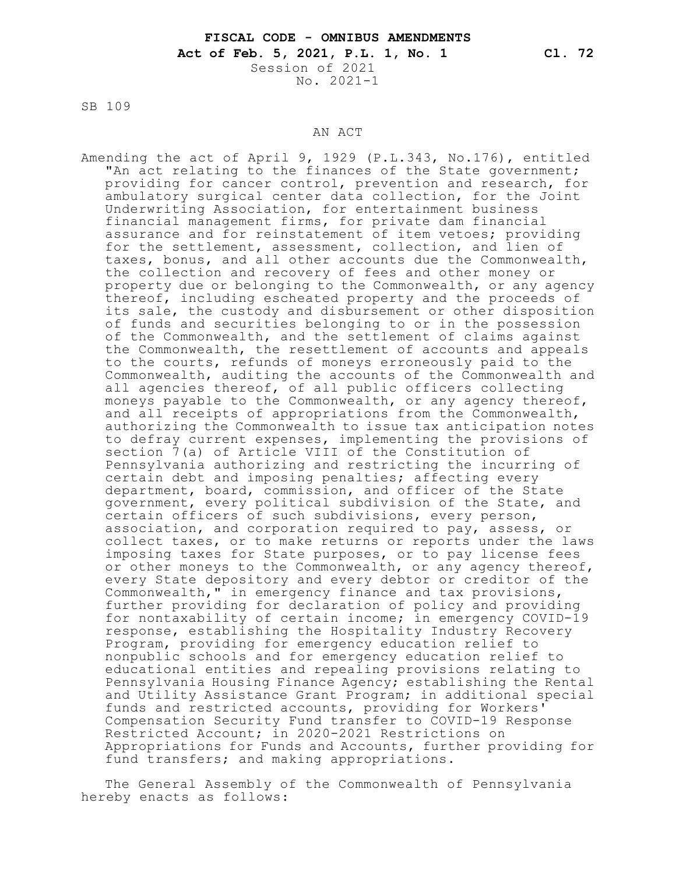SB 109

## AN ACT

Amending the act of April 9, 1929 (P.L.343, No.176), entitled "An act relating to the finances of the State government; providing for cancer control, prevention and research, for ambulatory surgical center data collection, for the Joint Underwriting Association, for entertainment business financial management firms, for private dam financial assurance and for reinstatement of item vetoes; providing for the settlement, assessment, collection, and lien of taxes, bonus, and all other accounts due the Commonwealth, the collection and recovery of fees and other money or property due or belonging to the Commonwealth, or any agency thereof, including escheated property and the proceeds of its sale, the custody and disbursement or other disposition of funds and securities belonging to or in the possession of the Commonwealth, and the settlement of claims against the Commonwealth, the resettlement of accounts and appeals to the courts, refunds of moneys erroneously paid to the Commonwealth, auditing the accounts of the Commonwealth and all agencies thereof, of all public officers collecting moneys payable to the Commonwealth, or any agency thereof, and all receipts of appropriations from the Commonwealth, authorizing the Commonwealth to issue tax anticipation notes to defray current expenses, implementing the provisions of section 7(a) of Article VIII of the Constitution of Pennsylvania authorizing and restricting the incurring of certain debt and imposing penalties; affecting every department, board, commission, and officer of the State government, every political subdivision of the State, and certain officers of such subdivisions, every person, association, and corporation required to pay, assess, or collect taxes, or to make returns or reports under the laws imposing taxes for State purposes, or to pay license fees or other moneys to the Commonwealth, or any agency thereof, every State depository and every debtor or creditor of the Commonwealth," in emergency finance and tax provisions, further providing for declaration of policy and providing for nontaxability of certain income; in emergency COVID-19 response, establishing the Hospitality Industry Recovery Program, providing for emergency education relief to nonpublic schools and for emergency education relief to educational entities and repealing provisions relating to Pennsylvania Housing Finance Agency; establishing the Rental and Utility Assistance Grant Program; in additional special funds and restricted accounts, providing for Workers' Compensation Security Fund transfer to COVID-19 Response Restricted Account; in 2020-2021 Restrictions on Appropriations for Funds and Accounts, further providing for fund transfers; and making appropriations.

The General Assembly of the Commonwealth of Pennsylvania hereby enacts as follows: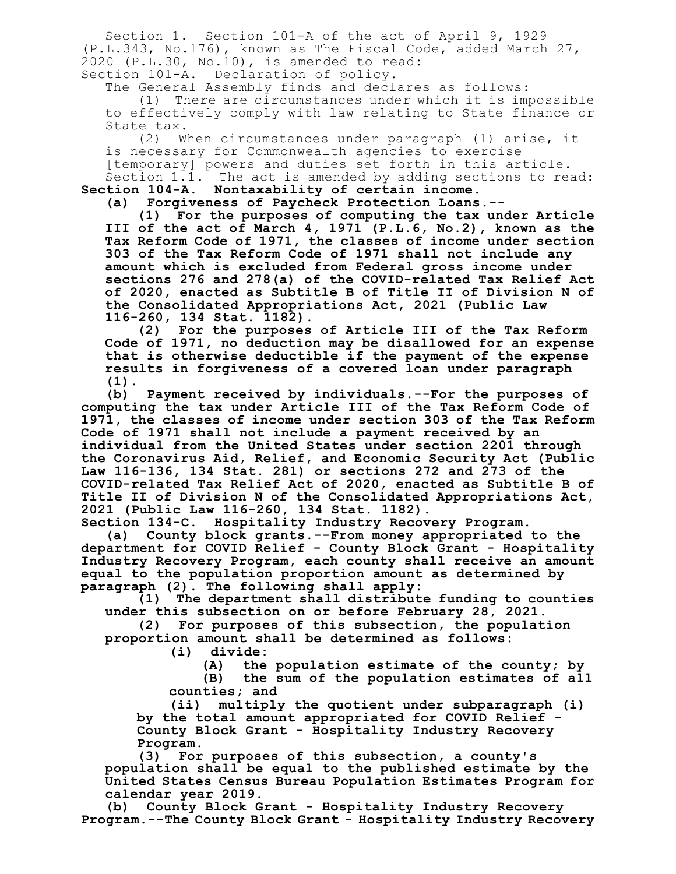Section 1. Section 101-A of the act of April 9, 1929 (P.L.343, No.176), known as The Fiscal Code, added March 27, 2020 (P.L.30, No.10), is amended to read: Section 101-A. Declaration of policy.

The General Assembly finds and declares as follows: (1) There are circumstances under which it is impossible to effectively comply with law relating to State finance or State tax.<br>(2) W

When circumstances under paragraph (1) arise, it is necessary for Commonwealth agencies to exercise [temporary] powers and duties set forth in this article. Section 1.1. The act is amended by adding sections to read: **Section 104-A. Nontaxability of certain income.**

**(a) Forgiveness of Paycheck Protection Loans.--**

**(1) For the purposes of computing the tax under Article III of the act of March 4, 1971 (P.L.6, No.2), known as the Tax Reform Code of 1971, the classes of income under section 303 of the Tax Reform Code of 1971 shall not include any amount which is excluded from Federal gross income under sections 276 and 278(a) of the COVID-related Tax Relief Act of 2020, enacted as Subtitle B of Title II of Division N of the Consolidated Appropriations Act, 2021 (Public Law 116-260, 134 Stat. 1182).**

**(2) For the purposes of Article III of the Tax Reform Code of 1971, no deduction may be disallowed for an expense that is otherwise deductible if the payment of the expense results in forgiveness of a covered loan under paragraph (1).**

**(b) Payment received by individuals.--For the purposes of computing the tax under Article III of the Tax Reform Code of 1971, the classes of income under section 303 of the Tax Reform Code of 1971 shall not include a payment received by an individual from the United States under section 2201 through the Coronavirus Aid, Relief, and Economic Security Act (Public Law 116-136, 134 Stat. 281) or sections 272 and 273 of the COVID-related Tax Relief Act of 2020, enacted as Subtitle B of Title II of Division N of the Consolidated Appropriations Act, 2021 (Public Law 116-260, 134 Stat. 1182).**

**Section 134-C. Hospitality Industry Recovery Program.**

**(a) County block grants.--From money appropriated to the department for COVID Relief - County Block Grant - Hospitality Industry Recovery Program, each county shall receive an amount equal to the population proportion amount as determined by paragraph (2). The following shall apply:**

**(1) The department shall distribute funding to counties under this subsection on or before February 28, 2021.**

**(2) For purposes of this subsection, the population proportion amount shall be determined as follows:**

**(i) divide:**

**(A) the population estimate of the county; by**

**(B) the sum of the population estimates of all counties; and**

**(ii) multiply the quotient under subparagraph (i) by the total amount appropriated for COVID Relief - County Block Grant - Hospitality Industry Recovery Program.**

**(3) For purposes of this subsection, a county's population shall be equal to the published estimate by the United States Census Bureau Population Estimates Program for calendar year 2019.**

**(b) County Block Grant - Hospitality Industry Recovery Program.--The County Block Grant - Hospitality Industry Recovery**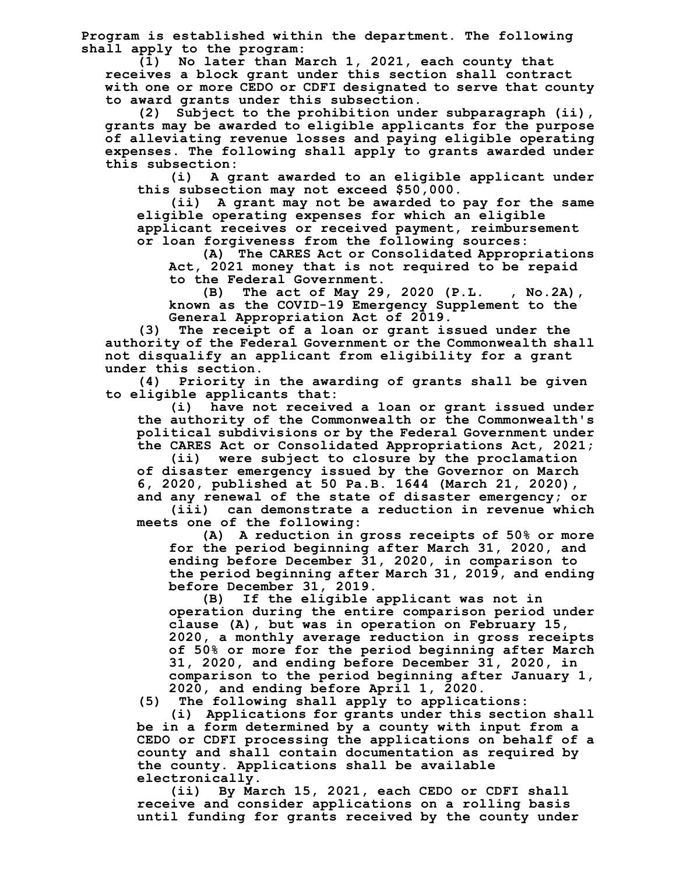**Program is established within the department. The following shall apply to the program:**

**(1) No later than March 1, 2021, each county that receives a block grant under this section shall contract with one or more CEDO or CDFI designated to serve that county to award grants under this subsection.**

**(2) Subject to the prohibition under subparagraph (ii), grants may be awarded to eligible applicants for the purpose of alleviating revenue losses and paying eligible operating expenses. The following shall apply to grants awarded under this subsection:**

**(i) A grant awarded to an eligible applicant under this subsection may not exceed \$50,000.**

**(ii) A grant may not be awarded to pay for the same eligible operating expenses for which an eligible applicant receives or received payment, reimbursement or loan forgiveness from the following sources:**

**(A) The CARES Act or Consolidated Appropriations Act, 2021 money that is not required to be repaid to the Federal Government.**

**(B) The act of May 29, 2020 (P.L. , No.2A), known as the COVID-19 Emergency Supplement to the General Appropriation Act of 2019.**

**(3) The receipt of a loan or grant issued under the authority of the Federal Government or the Commonwealth shall not disqualify an applicant from eligibility for a grant under this section.**

**(4) Priority in the awarding of grants shall be given to eligible applicants that:**

**(i) have not received a loan or grant issued under the authority of the Commonwealth or the Commonwealth's political subdivisions or by the Federal Government under the CARES Act or Consolidated Appropriations Act, 2021;**

**(ii) were subject to closure by the proclamation of disaster emergency issued by the Governor on March 6, 2020, published at 50 Pa.B. 1644 (March 21, 2020), and any renewal of the state of disaster emergency; or**

**(iii) can demonstrate a reduction in revenue which meets one of the following:**

**(A) A reduction in gross receipts of 50% or more for the period beginning after March 31, 2020, and ending before December 31, 2020, in comparison to the period beginning after March 31, 2019, and ending before December 31, 2019.**

**(B) If the eligible applicant was not in operation during the entire comparison period under clause (A), but was in operation on February 15, 2020, a monthly average reduction in gross receipts of 50% or more for the period beginning after March 31, 2020, and ending before December 31, 2020, in comparison to the period beginning after January 1, 2020, and ending before April 1, 2020.**

**(5) The following shall apply to applications:**

**(i) Applications for grants under this section shall be in a form determined by a county with input from a CEDO or CDFI processing the applications on behalf of a county and shall contain documentation as required by the county. Applications shall be available electronically.**

**(ii) By March 15, 2021, each CEDO or CDFI shall receive and consider applications on a rolling basis until funding for grants received by the county under**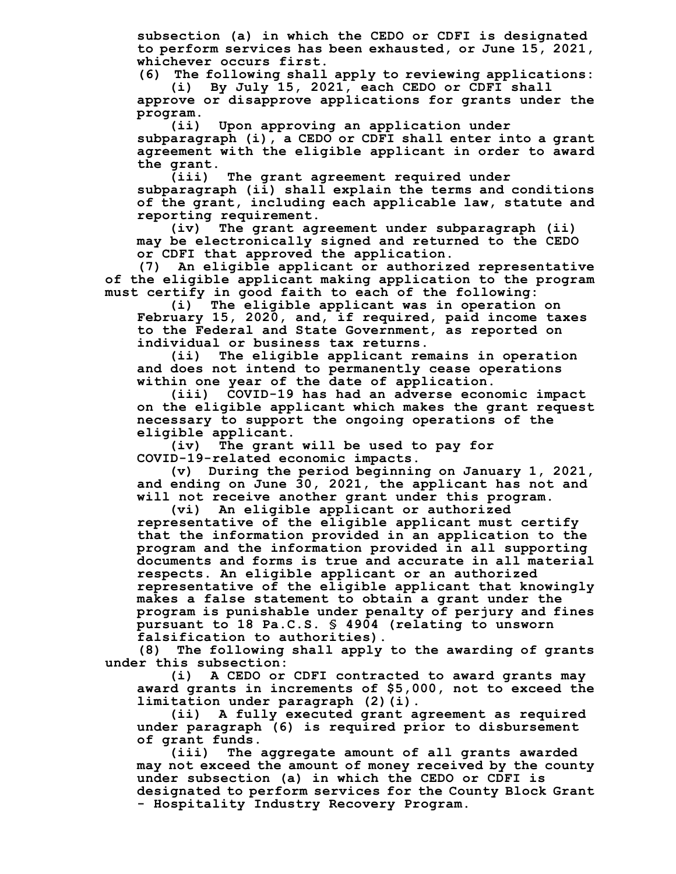**subsection (a) in which the CEDO or CDFI is designated to perform services has been exhausted, or June 15, 2021, whichever occurs first.**

**(6) The following shall apply to reviewing applications: (i) By July 15, 2021, each CEDO or CDFI shall**

**approve or disapprove applications for grants under the program.**

**(ii) Upon approving an application under subparagraph (i), a CEDO or CDFI shall enter into a grant agreement with the eligible applicant in order to award**

**the grant. (iii) The grant agreement required under subparagraph (ii) shall explain the terms and conditions of the grant, including each applicable law, statute and reporting requirement.**

**(iv) The grant agreement under subparagraph (ii) may be electronically signed and returned to the CEDO or CDFI that approved the application.**

**(7) An eligible applicant or authorized representative of the eligible applicant making application to the program must certify in good faith to each of the following:**

**(i) The eligible applicant was in operation on February 15, 2020, and, if required, paid income taxes to the Federal and State Government, as reported on individual or business tax returns.**

**(ii) The eligible applicant remains in operation and does not intend to permanently cease operations within one year of the date of application.**

**(iii) COVID-19 has had an adverse economic impact on the eligible applicant which makes the grant request necessary to support the ongoing operations of the eligible applicant.**

**(iv) The grant will be used to pay for COVID-19-related economic impacts.**

**(v) During the period beginning on January 1, 2021, and ending on June 30, 2021, the applicant has not and will not receive another grant under this program.**

**(vi) An eligible applicant or authorized representative of the eligible applicant must certify that the information provided in an application to the program and the information provided in all supporting documents and forms is true and accurate in all material respects. An eligible applicant or an authorized representative of the eligible applicant that knowingly makes a false statement to obtain a grant under the program is punishable under penalty of perjury and fines pursuant to 18 Pa.C.S. § 4904 (relating to unsworn falsification to authorities).**

**(8) The following shall apply to the awarding of grants under this subsection:**

**(i) A CEDO or CDFI contracted to award grants may award grants in increments of \$5,000, not to exceed the limitation under paragraph (2)(i).**

**(ii) A fully executed grant agreement as required under paragraph (6) is required prior to disbursement of grant funds.**

**(iii) The aggregate amount of all grants awarded may not exceed the amount of money received by the county under subsection (a) in which the CEDO or CDFI is designated to perform services for the County Block Grant - Hospitality Industry Recovery Program.**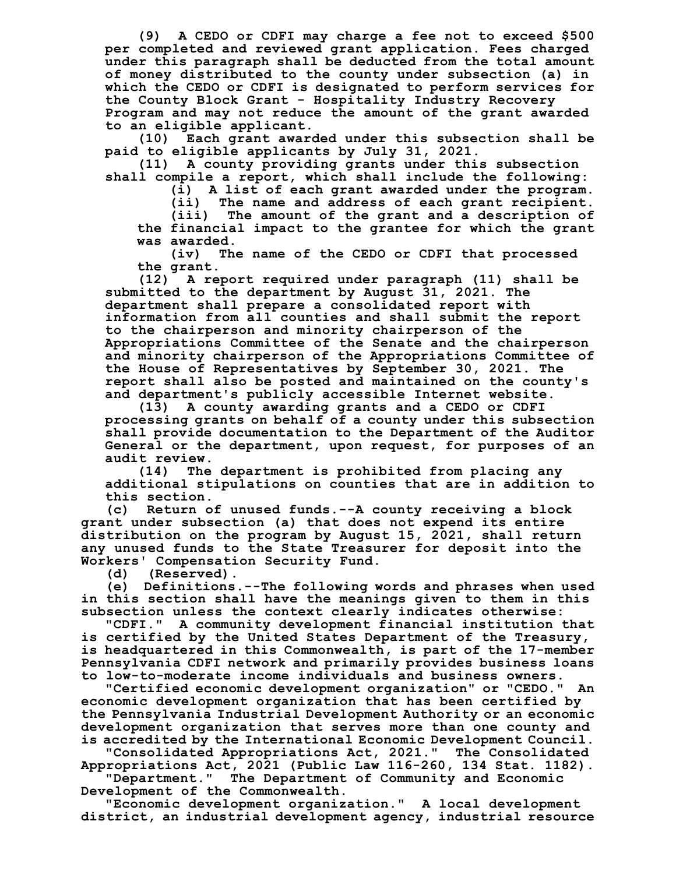**(9) A CEDO or CDFI may charge a fee not to exceed \$500 per completed and reviewed grant application. Fees charged under this paragraph shall be deducted from the total amount of money distributed to the county under subsection (a) in which the CEDO or CDFI is designated to perform services for the County Block Grant - Hospitality Industry Recovery Program and may not reduce the amount of the grant awarded to an eligible applicant.**

**(10) Each grant awarded under this subsection shall be paid to eligible applicants by July 31, 2021.**

**(11) A county providing grants under this subsection shall compile a report, which shall include the following:**

**(i) A list of each grant awarded under the program.**

**(ii) The name and address of each grant recipient.**

**(iii) The amount of the grant and a description of the financial impact to the grantee for which the grant was awarded.**

**(iv) The name of the CEDO or CDFI that processed the grant.**

**(12) A report required under paragraph (11) shall be submitted to the department by August 31, 2021. The department shall prepare a consolidated report with information from all counties and shall submit the report to the chairperson and minority chairperson of the Appropriations Committee of the Senate and the chairperson and minority chairperson of the Appropriations Committee of the House of Representatives by September 30, 2021. The report shall also be posted and maintained on the county's and department's publicly accessible Internet website.**

**(13) A county awarding grants and a CEDO or CDFI processing grants on behalf of a county under this subsection shall provide documentation to the Department of the Auditor General or the department, upon request, for purposes of an audit review.**

**(14) The department is prohibited from placing any additional stipulations on counties that are in addition to this section.**

**(c) Return of unused funds.--A county receiving a block grant under subsection (a) that does not expend its entire distribution on the program by August 15, 2021, shall return any unused funds to the State Treasurer for deposit into the Workers' Compensation Security Fund.**

**(d) (Reserved).**

**(e) Definitions.--The following words and phrases when used in this section shall have the meanings given to them in this**

**subsection unless the context clearly indicates otherwise: "CDFI." A community development financial institution that is certified by the United States Department of the Treasury, is headquartered in this Commonwealth, is part of the 17-member Pennsylvania CDFI network and primarily provides business loans to low-to-moderate income individuals and business owners.**

**"Certified economic development organization" or "CEDO." An economic development organization that has been certified by the Pennsylvania Industrial Development Authority or an economic development organization that serves more than one county and is accredited by the International Economic Development Council.**

**"Consolidated Appropriations Act, 2021." The Consolidated Appropriations Act, 2021 (Public Law 116-260, 134 Stat. 1182).**

**"Department." The Department of Community and Economic Development of the Commonwealth.**

**"Economic development organization." A local development district, an industrial development agency, industrial resource**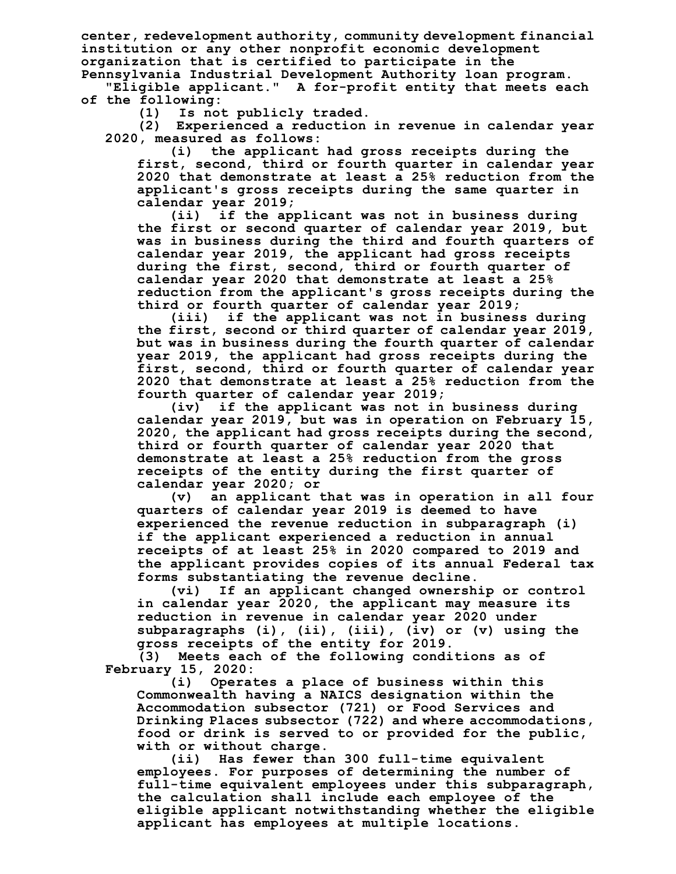**center, redevelopment authority, community development financial institution or any other nonprofit economic development organization that is certified to participate in the Pennsylvania Industrial Development Authority loan program.**

**"Eligible applicant." A for-profit entity that meets each of the following:**

**(1) Is not publicly traded.**

**(2) Experienced a reduction in revenue in calendar year 2020, measured as follows:**

**(i) the applicant had gross receipts during the first, second, third or fourth quarter in calendar year 2020 that demonstrate at least a 25% reduction from the applicant's gross receipts during the same quarter in calendar year 2019;**

**(ii) if the applicant was not in business during the first or second quarter of calendar year 2019, but was in business during the third and fourth quarters of calendar year 2019, the applicant had gross receipts during the first, second, third or fourth quarter of calendar year 2020 that demonstrate at least a 25% reduction from the applicant's gross receipts during the third or fourth quarter of calendar year 2019;**

**(iii) if the applicant was not in business during the first, second or third quarter of calendar year 2019, but was in business during the fourth quarter of calendar year 2019, the applicant had gross receipts during the first, second, third or fourth quarter of calendar year 2020 that demonstrate at least a 25% reduction from the fourth quarter of calendar year 2019;**

**(iv) if the applicant was not in business during calendar year 2019, but was in operation on February 15, 2020, the applicant had gross receipts during the second, third or fourth quarter of calendar year 2020 that demonstrate at least a 25% reduction from the gross receipts of the entity during the first quarter of calendar year 2020; or**

**(v) an applicant that was in operation in all four quarters of calendar year 2019 is deemed to have experienced the revenue reduction in subparagraph (i) if the applicant experienced a reduction in annual receipts of at least 25% in 2020 compared to 2019 and the applicant provides copies of its annual Federal tax forms substantiating the revenue decline.**

**(vi) If an applicant changed ownership or control in calendar year 2020, the applicant may measure its reduction in revenue in calendar year 2020 under subparagraphs (i), (ii), (iii), (iv) or (v) using the gross receipts of the entity for 2019.**

**(3) Meets each of the following conditions as of February 15, 2020:**

**(i) Operates a place of business within this Commonwealth having a NAICS designation within the Accommodation subsector (721) or Food Services and Drinking Places subsector (722) and where accommodations, food or drink is served to or provided for the public, with or without charge.**

**(ii) Has fewer than 300 full-time equivalent employees. For purposes of determining the number of full-time equivalent employees under this subparagraph, the calculation shall include each employee of the eligible applicant notwithstanding whether the eligible applicant has employees at multiple locations.**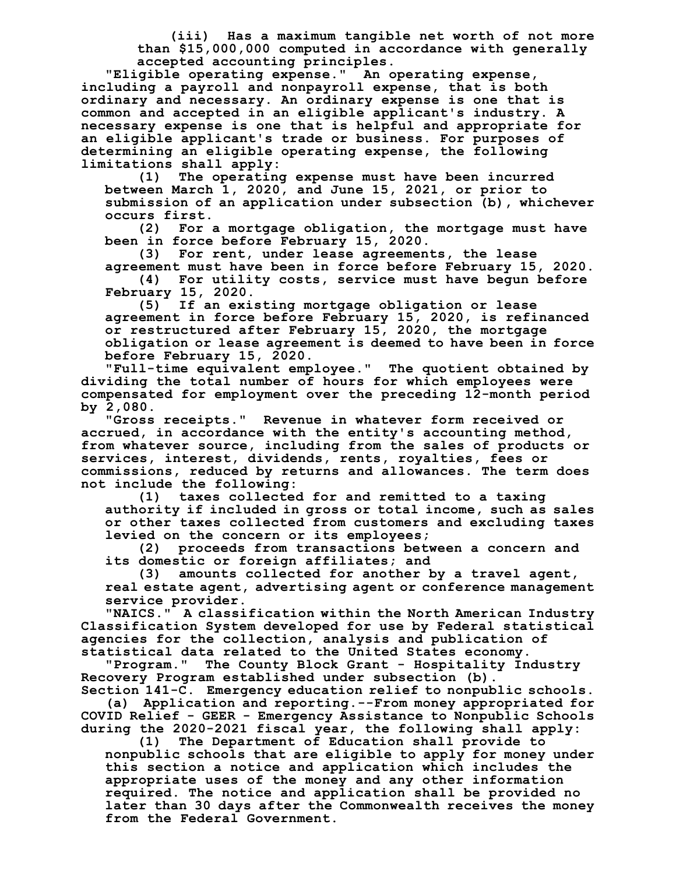**(iii) Has a maximum tangible net worth of not more than \$15,000,000 computed in accordance with generally accepted accounting principles.**

**"Eligible operating expense." An operating expense, including a payroll and nonpayroll expense, that is both ordinary and necessary. An ordinary expense is one that is common and accepted in an eligible applicant's industry. A necessary expense is one that is helpful and appropriate for an eligible applicant's trade or business. For purposes of determining an eligible operating expense, the following limitations shall apply:**

**(1) The operating expense must have been incurred between March 1, 2020, and June 15, 2021, or prior to submission of an application under subsection (b), whichever occurs first.**

**(2) For a mortgage obligation, the mortgage must have been in force before February 15, 2020.**

**(3) For rent, under lease agreements, the lease agreement must have been in force before February 15, 2020.**

**(4) For utility costs, service must have begun before February 15, 2020.**

**(5) If an existing mortgage obligation or lease agreement in force before February 15, 2020, is refinanced or restructured after February 15, 2020, the mortgage obligation or lease agreement is deemed to have been in force before February 15, 2020.**

**"Full-time equivalent employee." The quotient obtained by dividing the total number of hours for which employees were compensated for employment over the preceding 12-month period by 2,080.**

**"Gross receipts." Revenue in whatever form received or accrued, in accordance with the entity's accounting method, from whatever source, including from the sales of products or services, interest, dividends, rents, royalties, fees or commissions, reduced by returns and allowances. The term does not include the following:**

**(1) taxes collected for and remitted to a taxing authority if included in gross or total income, such as sales or other taxes collected from customers and excluding taxes levied on the concern or its employees;**

**(2) proceeds from transactions between a concern and its domestic or foreign affiliates; and**

**(3) amounts collected for another by a travel agent, real estate agent, advertising agent or conference management service provider.**

**"NAICS." A classification within the North American Industry Classification System developed for use by Federal statistical agencies for the collection, analysis and publication of statistical data related to the United States economy.**

**"Program." The County Block Grant - Hospitality Industry Recovery Program established under subsection (b).**

**Section 141-C. Emergency education relief to nonpublic schools. (a) Application and reporting.--From money appropriated for COVID Relief - GEER - Emergency Assistance to Nonpublic Schools during the 2020-2021 fiscal year, the following shall apply:**

**(1) The Department of Education shall provide to nonpublic schools that are eligible to apply for money under this section a notice and application which includes the appropriate uses of the money and any other information required. The notice and application shall be provided no later than 30 days after the Commonwealth receives the money from the Federal Government.**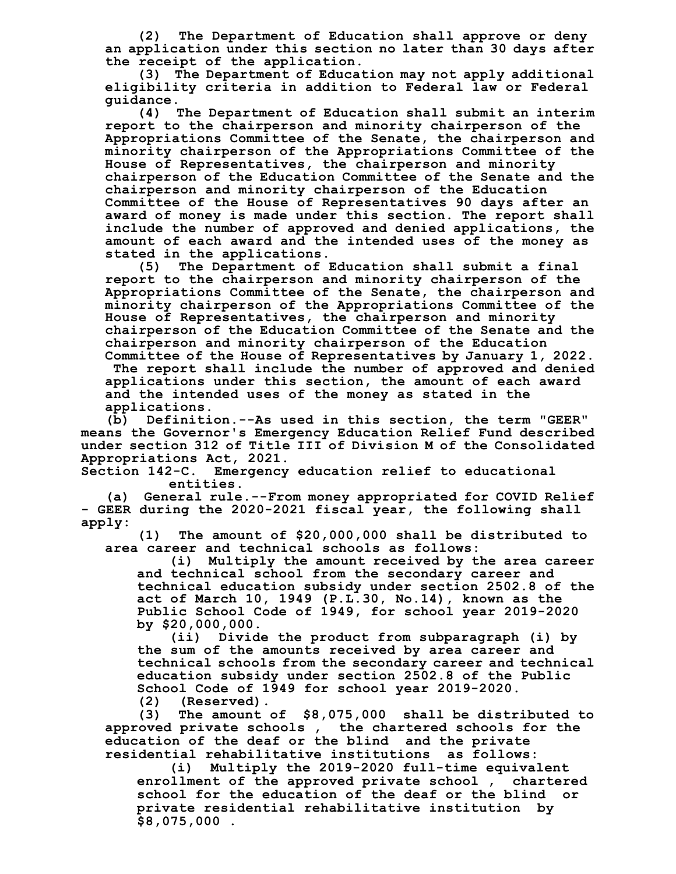**(2) The Department of Education shall approve or deny an application under this section no later than 30 days after the receipt of the application.**

**(3) The Department of Education may not apply additional eligibility criteria in addition to Federal law or Federal guidance.**

**(4) The Department of Education shall submit an interim report to the chairperson and minority chairperson of the Appropriations Committee of the Senate, the chairperson and minority chairperson of the Appropriations Committee of the House of Representatives, the chairperson and minority chairperson of the Education Committee of the Senate and the chairperson and minority chairperson of the Education Committee of the House of Representatives 90 days after an award of money is made under this section. The report shall include the number of approved and denied applications, the amount of each award and the intended uses of the money as stated in the applications.**

**(5) The Department of Education shall submit a final report to the chairperson and minority chairperson of the Appropriations Committee of the Senate, the chairperson and minority chairperson of the Appropriations Committee of the House of Representatives, the chairperson and minority chairperson of the Education Committee of the Senate and the chairperson and minority chairperson of the Education Committee of the House of Representatives by January 1, 2022.**

**The report shall include the number of approved and denied applications under this section, the amount of each award and the intended uses of the money as stated in the applications.**

**(b) Definition.--As used in this section, the term "GEER" means the Governor's Emergency Education Relief Fund described under section 312 of Title III of Division M of the Consolidated Appropriations Act, 2021.**

**Section 142-C. Emergency education relief to educational entities.**

**(a) General rule.--From money appropriated for COVID Relief - GEER during the 2020-2021 fiscal year, the following shall apply:**

**(1) The amount of \$20,000,000 shall be distributed to area career and technical schools as follows:**

**(i) Multiply the amount received by the area career and technical school from the secondary career and technical education subsidy under section 2502.8 of the act of March 10, 1949 (P.L.30, No.14), known as the Public School Code of 1949, for school year 2019-2020 by \$20,000,000.**

**(ii) Divide the product from subparagraph (i) by the sum of the amounts received by area career and technical schools from the secondary career and technical education subsidy under section 2502.8 of the Public School Code of 1949 for school year 2019-2020.**

**(2) (Reserved).**

**(3) The amount of \$8,075,000 shall be distributed to approved private schools , the chartered schools for the education of the deaf or the blind and the private residential rehabilitative institutions as follows:**

**(i) Multiply the 2019-2020 full-time equivalent enrollment of the approved private school , chartered school for the education of the deaf or the blind or private residential rehabilitative institution by \$8,075,000 .**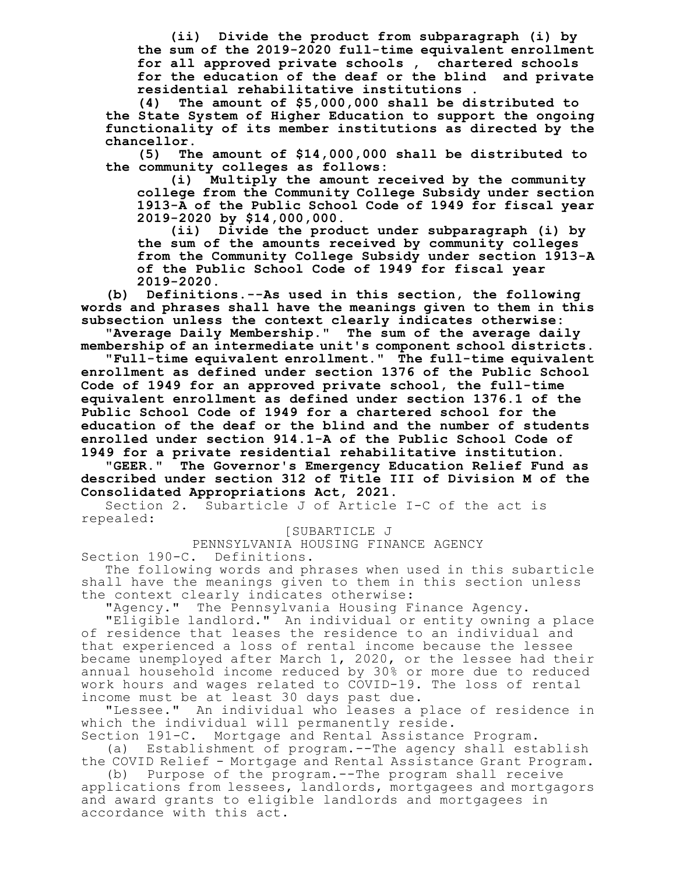**(ii) Divide the product from subparagraph (i) by the sum of the 2019-2020 full-time equivalent enrollment for all approved private schools , chartered schools for the education of the deaf or the blind and private residential rehabilitative institutions .**

**(4) The amount of \$5,000,000 shall be distributed to the State System of Higher Education to support the ongoing functionality of its member institutions as directed by the chancellor.**

**(5) The amount of \$14,000,000 shall be distributed to the community colleges as follows:**

**(i) Multiply the amount received by the community college from the Community College Subsidy under section 1913-A of the Public School Code of 1949 for fiscal year 2019-2020 by \$14,000,000.**

**(ii) Divide the product under subparagraph (i) by the sum of the amounts received by community colleges from the Community College Subsidy under section 1913-A of the Public School Code of 1949 for fiscal year 2019-2020.**

**(b) Definitions.--As used in this section, the following words and phrases shall have the meanings given to them in this subsection unless the context clearly indicates otherwise:**

**"Average Daily Membership." The sum of the average daily membership of an intermediate unit's component school districts.**

**"Full-time equivalent enrollment." The full-time equivalent enrollment as defined under section 1376 of the Public School Code of 1949 for an approved private school, the full-time equivalent enrollment as defined under section 1376.1 of the Public School Code of 1949 for a chartered school for the education of the deaf or the blind and the number of students enrolled under section 914.1-A of the Public School Code of**

**1949 for a private residential rehabilitative institution. "GEER." The Governor's Emergency Education Relief Fund as described under section 312 of Title III of Division M of the Consolidated Appropriations Act, 2021.**

Section 2. Subarticle J of Article I-C of the act is repealed:

[SUBARTICLE J

PENNSYLVANIA HOUSING FINANCE AGENCY Section 190-C. Definitions.

The following words and phrases when used in this subarticle shall have the meanings given to them in this section unless the context clearly indicates otherwise:

"Agency." The Pennsylvania Housing Finance Agency.

"Eligible landlord." An individual or entity owning a place of residence that leases the residence to an individual and that experienced a loss of rental income because the lessee became unemployed after March 1, 2020, or the lessee had their annual household income reduced by 30% or more due to reduced work hours and wages related to COVID-19. The loss of rental income must be at least 30 days past due.

"Lessee." An individual who leases a place of residence in which the individual will permanently reside.

Section 191-C. Mortgage and Rental Assistance Program.

(a) Establishment of program.--The agency shall establish the COVID Relief - Mortgage and Rental Assistance Grant Program.

(b) Purpose of the program.--The program shall receive applications from lessees, landlords, mortgagees and mortgagors and award grants to eligible landlords and mortgagees in accordance with this act.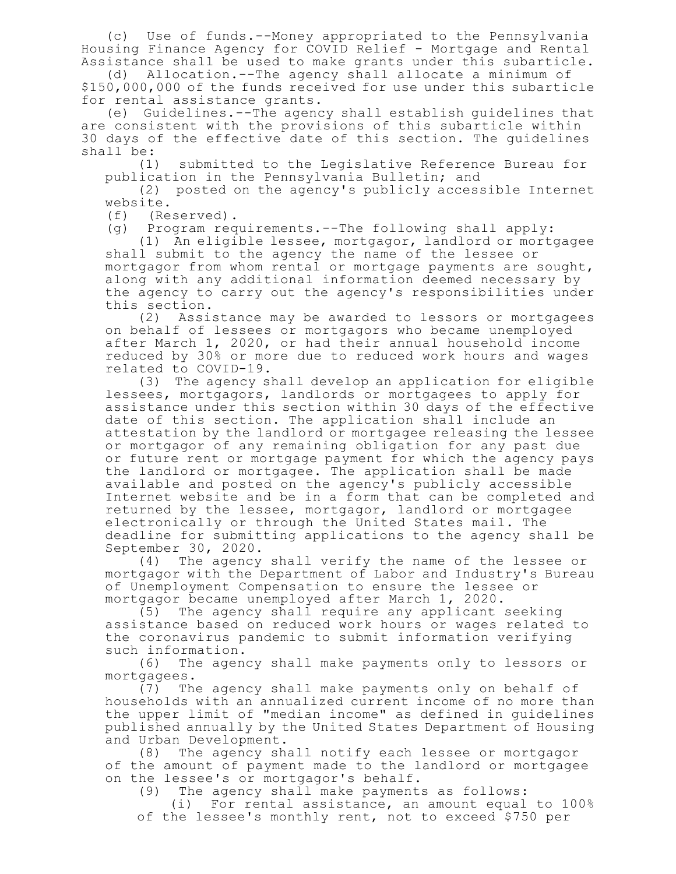(c) Use of funds.--Money appropriated to the Pennsylvania Housing Finance Agency for COVID Relief - Mortgage and Rental Assistance shall be used to make grants under this subarticle.

(d) Allocation.--The agency shall allocate a minimum of \$150,000,000 of the funds received for use under this subarticle for rental assistance grants.

(e) Guidelines.--The agency shall establish guidelines that are consistent with the provisions of this subarticle within 30 days of the effective date of this section. The guidelines shall be:

(1) submitted to the Legislative Reference Bureau for publication in the Pennsylvania Bulletin; and

(2) posted on the agency's publicly accessible Internet website.

(f) (Reserved).

(g) Program requirements.--The following shall apply:

(1) An eligible lessee, mortgagor, landlord or mortgagee shall submit to the agency the name of the lessee or mortgagor from whom rental or mortgage payments are sought, along with any additional information deemed necessary by the agency to carry out the agency's responsibilities under this section.

(2) Assistance may be awarded to lessors or mortgagees on behalf of lessees or mortgagors who became unemployed after March 1, 2020, or had their annual household income reduced by 30% or more due to reduced work hours and wages related to COVID-19.

(3) The agency shall develop an application for eligible lessees, mortgagors, landlords or mortgagees to apply for assistance under this section within 30 days of the effective date of this section. The application shall include an attestation by the landlord or mortgagee releasing the lessee or mortgagor of any remaining obligation for any past due or future rent or mortgage payment for which the agency pays the landlord or mortgagee. The application shall be made available and posted on the agency's publicly accessible Internet website and be in a form that can be completed and returned by the lessee, mortgagor, landlord or mortgagee electronically or through the United States mail. The deadline for submitting applications to the agency shall be September 30, 2020.

(4) The agency shall verify the name of the lessee or mortgagor with the Department of Labor and Industry's Bureau of Unemployment Compensation to ensure the lessee or mortgagor became unemployed after March 1, 2020.

(5) The agency shall require any applicant seeking assistance based on reduced work hours or wages related to the coronavirus pandemic to submit information verifying such information.

(6) The agency shall make payments only to lessors or mortgagees.

(7) The agency shall make payments only on behalf of households with an annualized current income of no more than the upper limit of "median income" as defined in guidelines published annually by the United States Department of Housing and Urban Development.

(8) The agency shall notify each lessee or mortgagor of the amount of payment made to the landlord or mortgagee on the lessee's or mortgagor's behalf.

(9) The agency shall make payments as follows:

(i) For rental assistance, an amount equal to 100% of the lessee's monthly rent, not to exceed \$750 per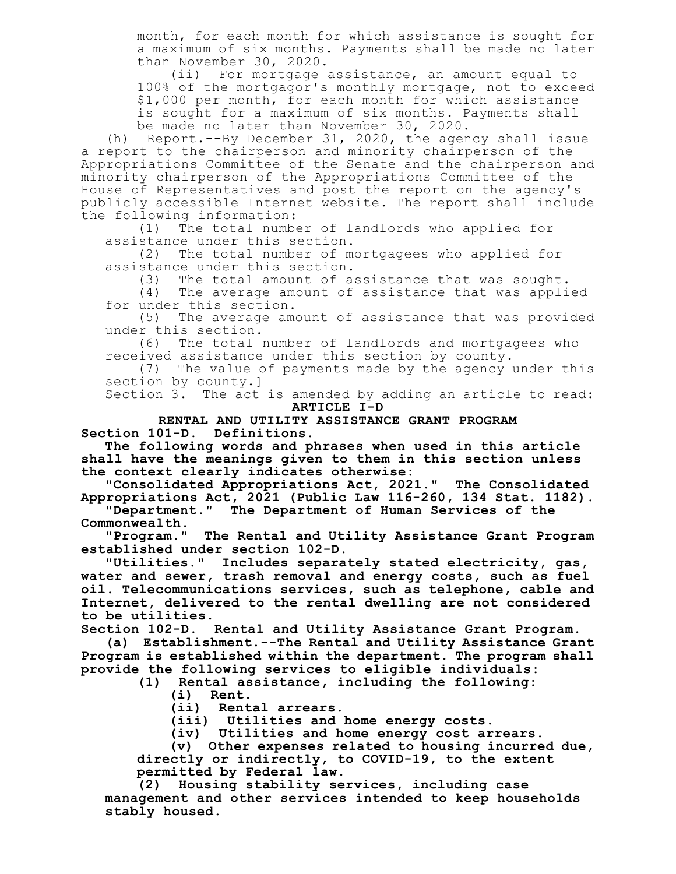month, for each month for which assistance is sought for a maximum of six months. Payments shall be made no later than November 30, 2020.

(ii) For mortgage assistance, an amount equal to 100% of the mortgagor's monthly mortgage, not to exceed \$1,000 per month, for each month for which assistance is sought for a maximum of six months. Payments shall be made no later than November 30, 2020.

(h) Report.--By December 31, 2020, the agency shall issue a report to the chairperson and minority chairperson of the Appropriations Committee of the Senate and the chairperson and minority chairperson of the Appropriations Committee of the House of Representatives and post the report on the agency's publicly accessible Internet website. The report shall include the following information:

(1) The total number of landlords who applied for assistance under this section.

(2) The total number of mortgagees who applied for assistance under this section.

(3) The total amount of assistance that was sought.

(4) The average amount of assistance that was applied for under this section.

(5) The average amount of assistance that was provided under this section.

(6) The total number of landlords and mortgagees who received assistance under this section by county.

(7) The value of payments made by the agency under this section by county.]

Section 3. The act is amended by adding an article to read: **ARTICLE I-D**

## **RENTAL AND UTILITY ASSISTANCE GRANT PROGRAM Section 101-D. Definitions.**

**The following words and phrases when used in this article shall have the meanings given to them in this section unless the context clearly indicates otherwise:**

**"Consolidated Appropriations Act, 2021." The Consolidated Appropriations Act, 2021 (Public Law 116-260, 134 Stat. 1182).**

**"Department." The Department of Human Services of the Commonwealth.**

**"Program." The Rental and Utility Assistance Grant Program established under section 102-D.**

**"Utilities." Includes separately stated electricity, gas, water and sewer, trash removal and energy costs, such as fuel oil. Telecommunications services, such as telephone, cable and Internet, delivered to the rental dwelling are not considered to be utilities.**

**Section 102-D. Rental and Utility Assistance Grant Program.**

**(a) Establishment.--The Rental and Utility Assistance Grant Program is established within the department. The program shall provide the following services to eligible individuals:**

**(1) Rental assistance, including the following:**

- **(i) Rent.**
- **(ii) Rental arrears.**

**(iii) Utilities and home energy costs.**

**(iv) Utilities and home energy cost arrears.**

**(v) Other expenses related to housing incurred due, directly or indirectly, to COVID-19, to the extent permitted by Federal law.**

**(2) Housing stability services, including case management and other services intended to keep households stably housed.**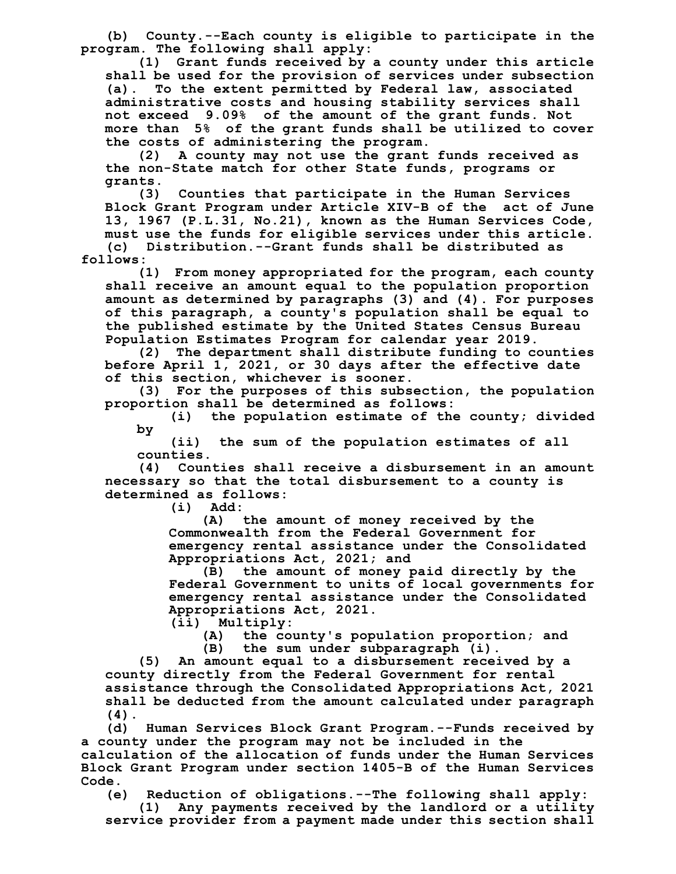**(b) County.--Each county is eligible to participate in the program. The following shall apply:**

**(1) Grant funds received by a county under this article shall be used for the provision of services under subsection (a). To the extent permitted by Federal law, associated administrative costs and housing stability services shall not exceed 9.09% of the amount of the grant funds. Not more than 5% of the grant funds shall be utilized to cover the costs of administering the program.**

**(2) A county may not use the grant funds received as the non-State match for other State funds, programs or grants.**

**(3) Counties that participate in the Human Services Block Grant Program under Article XIV-B of the act of June 13, 1967 (P.L.31, No.21), known as the Human Services Code, must use the funds for eligible services under this article. (c) Distribution.--Grant funds shall be distributed as**

**follows: (1) From money appropriated for the program, each county shall receive an amount equal to the population proportion amount as determined by paragraphs (3) and (4). For purposes**

**of this paragraph, a county's population shall be equal to the published estimate by the United States Census Bureau Population Estimates Program for calendar year 2019.**

**(2) The department shall distribute funding to counties before April 1, 2021, or 30 days after the effective date of this section, whichever is sooner.**

**(3) For the purposes of this subsection, the population proportion shall be determined as follows:**

**(i) the population estimate of the county; divided by**

**(ii) the sum of the population estimates of all counties.**

**(4) Counties shall receive a disbursement in an amount necessary so that the total disbursement to a county is determined as follows:**

**(i) Add:**

**(A) the amount of money received by the Commonwealth from the Federal Government for emergency rental assistance under the Consolidated Appropriations Act, 2021; and**

**(B) the amount of money paid directly by the Federal Government to units of local governments for emergency rental assistance under the Consolidated Appropriations Act, 2021.**

**(ii) Multiply:**

**(A) the county's population proportion; and**

**(B) the sum under subparagraph (i).**

**(5) An amount equal to a disbursement received by a county directly from the Federal Government for rental assistance through the Consolidated Appropriations Act, 2021 shall be deducted from the amount calculated under paragraph**  $\begin{array}{c} (4) \\ (d) \end{array}$ 

**(d) Human Services Block Grant Program.--Funds received by a county under the program may not be included in the**

**calculation of the allocation of funds under the Human Services Block Grant Program under section 1405-B of the Human Services Code.**

**(e) Reduction of obligations.--The following shall apply:**

**(1) Any payments received by the landlord or a utility service provider from a payment made under this section shall**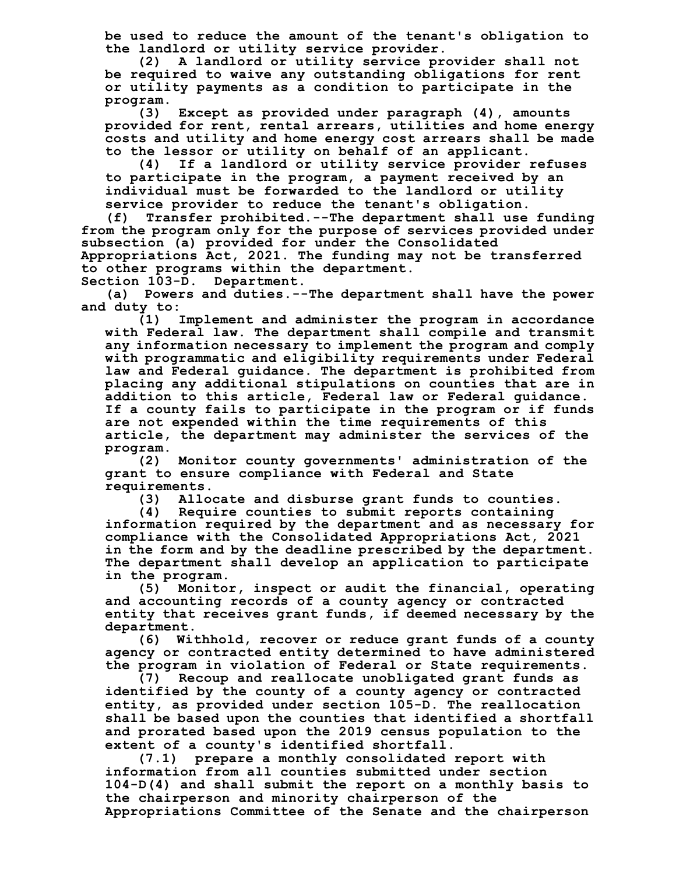**be used to reduce the amount of the tenant's obligation to the landlord or utility service provider.**

**(2) A landlord or utility service provider shall not be required to waive any outstanding obligations for rent or utility payments as a condition to participate in the program.**

**(3) Except as provided under paragraph (4), amounts provided for rent, rental arrears, utilities and home energy costs and utility and home energy cost arrears shall be made to the lessor or utility on behalf of an applicant.**

**(4) If a landlord or utility service provider refuses to participate in the program, a payment received by an individual must be forwarded to the landlord or utility service provider to reduce the tenant's obligation.**

**(f) Transfer prohibited.--The department shall use funding from the program only for the purpose of services provided under subsection (a) provided for under the Consolidated Appropriations Act, 2021. The funding may not be transferred to other programs within the department.**

**Section 103-D. Department.**

**(a) Powers and duties.--The department shall have the power and duty to:**

**(1) Implement and administer the program in accordance with Federal law. The department shall compile and transmit any information necessary to implement the program and comply with programmatic and eligibility requirements under Federal law and Federal guidance. The department is prohibited from placing any additional stipulations on counties that are in addition to this article, Federal law or Federal guidance. If a county fails to participate in the program or if funds are not expended within the time requirements of this article, the department may administer the services of the program.**

**(2) Monitor county governments' administration of the grant to ensure compliance with Federal and State requirements.**

**(3) Allocate and disburse grant funds to counties.**

**(4) Require counties to submit reports containing information required by the department and as necessary for compliance with the Consolidated Appropriations Act, 2021 in the form and by the deadline prescribed by the department. The department shall develop an application to participate in the program.**

**(5) Monitor, inspect or audit the financial, operating and accounting records of a county agency or contracted entity that receives grant funds, if deemed necessary by the department.**

**(6) Withhold, recover or reduce grant funds of a county agency or contracted entity determined to have administered the program in violation of Federal or State requirements.**

**(7) Recoup and reallocate unobligated grant funds as identified by the county of a county agency or contracted entity, as provided under section 105-D. The reallocation shall be based upon the counties that identified a shortfall and prorated based upon the 2019 census population to the extent of a county's identified shortfall.**

**(7.1) prepare a monthly consolidated report with information from all counties submitted under section 104-D(4) and shall submit the report on a monthly basis to the chairperson and minority chairperson of the Appropriations Committee of the Senate and the chairperson**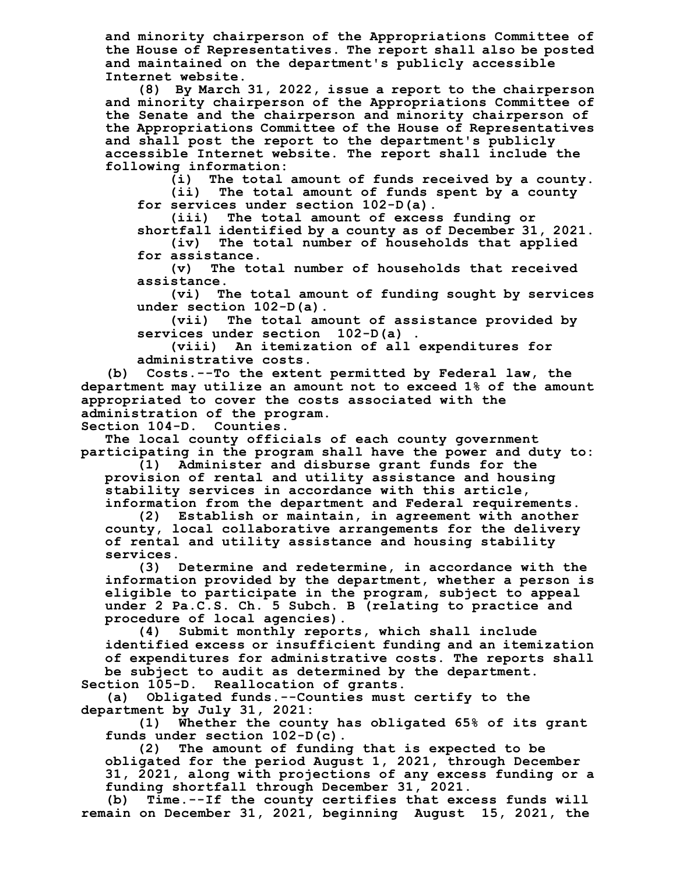**and minority chairperson of the Appropriations Committee of the House of Representatives. The report shall also be posted and maintained on the department's publicly accessible Internet website.**

**(8) By March 31, 2022, issue a report to the chairperson and minority chairperson of the Appropriations Committee of the Senate and the chairperson and minority chairperson of the Appropriations Committee of the House of Representatives and shall post the report to the department's publicly accessible Internet website. The report shall include the following information:**

**(i) The total amount of funds received by a county.**

**(ii) The total amount of funds spent by a county for services under section 102-D(a).**

**(iii) The total amount of excess funding or shortfall identified by a county as of December 31, 2021.**

**(iv) The total number of households that applied**

**for assistance. (v) The total number of households that received assistance.**

**(vi) The total amount of funding sought by services under section 102-D(a).**

**(vii) The total amount of assistance provided by services under section 102-D(a) .**

**(viii) An itemization of all expenditures for administrative costs.**

**(b) Costs.--To the extent permitted by Federal law, the department may utilize an amount not to exceed 1% of the amount appropriated to cover the costs associated with the administration of the program.**

**Section 104-D. Counties.**

**The local county officials of each county government participating in the program shall have the power and duty to:**

**(1) Administer and disburse grant funds for the provision of rental and utility assistance and housing stability services in accordance with this article, information from the department and Federal requirements.**

**(2) Establish or maintain, in agreement with another county, local collaborative arrangements for the delivery of rental and utility assistance and housing stability services.**

**(3) Determine and redetermine, in accordance with the information provided by the department, whether a person is eligible to participate in the program, subject to appeal under 2 Pa.C.S. Ch. 5 Subch. B (relating to practice and procedure of local agencies).**

**(4) Submit monthly reports, which shall include identified excess or insufficient funding and an itemization of expenditures for administrative costs. The reports shall be subject to audit as determined by the department. Section 105-D. Reallocation of grants.**

**(a) Obligated funds.--Counties must certify to the department by July 31, 2021:**

**(1) Whether the county has obligated 65% of its grant funds under section 102-D(c).**

**(2) The amount of funding that is expected to be obligated for the period August 1, 2021, through December 31, 2021, along with projections of any excess funding or a funding shortfall through December 31, 2021.**

**(b) Time.--If the county certifies that excess funds will remain on December 31, 2021, beginning August 15, 2021, the**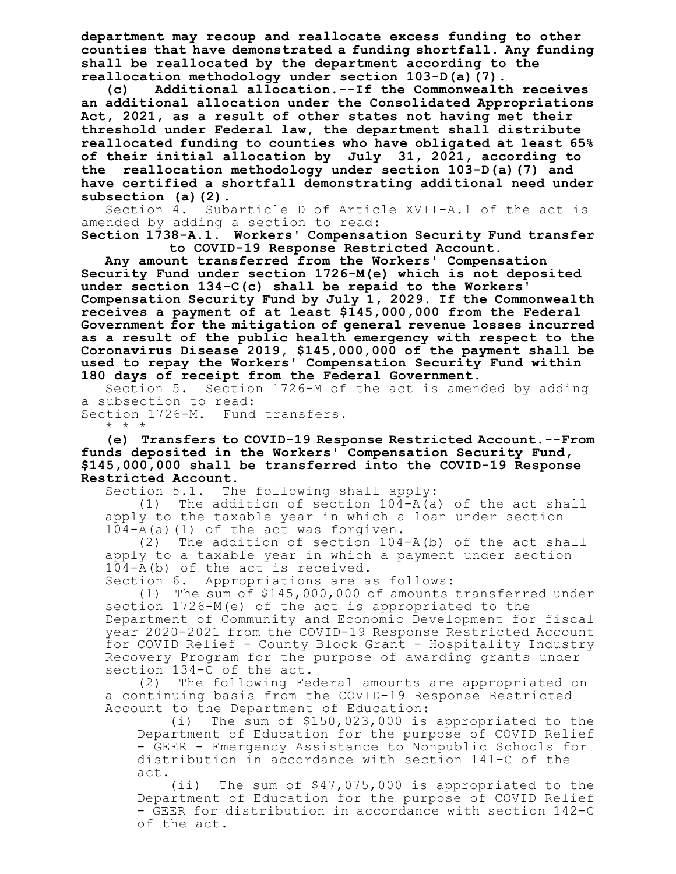**department may recoup and reallocate excess funding to other counties that have demonstrated a funding shortfall. Any funding shall be reallocated by the department according to the reallocation methodology under section 103-D(a)(7).**

**(c) Additional allocation.--If the Commonwealth receives an additional allocation under the Consolidated Appropriations Act, 2021, as a result of other states not having met their threshold under Federal law, the department shall distribute reallocated funding to counties who have obligated at least 65% of their initial allocation by July 31, 2021, according to the reallocation methodology under section 103-D(a)(7) and have certified a shortfall demonstrating additional need under subsection (a)(2).**

Section 4. Subarticle D of Article XVII-A.1 of the act is amended by adding a section to read:

**Section 1738-A.1. Workers' Compensation Security Fund transfer to COVID-19 Response Restricted Account.**

**Any amount transferred from the Workers' Compensation Security Fund under section 1726-M(e) which is not deposited under section 134-C(c) shall be repaid to the Workers' Compensation Security Fund by July 1, 2029. If the Commonwealth receives a payment of at least \$145,000,000 from the Federal Government for the mitigation of general revenue losses incurred as a result of the public health emergency with respect to the Coronavirus Disease 2019, \$145,000,000 of the payment shall be used to repay the Workers' Compensation Security Fund within 180 days of receipt from the Federal Government.**

Section 5. Section 1726-M of the act is amended by adding a subsection to read:

Section 1726-M. Fund transfers. \* \* \*

**(e) Transfers to COVID-19 Response Restricted Account.--From funds deposited in the Workers' Compensation Security Fund, \$145,000,000 shall be transferred into the COVID-19 Response Restricted Account.**

Section 5.1. The following shall apply:

(1) The addition of section 104-A(a) of the act shall apply to the taxable year in which a loan under section 104-A(a)(1) of the act was forgiven.

(2) The addition of section 104-A(b) of the act shall apply to a taxable year in which a payment under section 104-A(b) of the act is received.

Section 6. Appropriations are as follows:

(1) The sum of \$145,000,000 of amounts transferred under section 1726-M(e) of the act is appropriated to the Department of Community and Economic Development for fiscal year 2020-2021 from the COVID-19 Response Restricted Account for COVID Relief - County Block Grant - Hospitality Industry Recovery Program for the purpose of awarding grants under section 134-C of the act.

(2) The following Federal amounts are appropriated on a continuing basis from the COVID-19 Response Restricted Account to the Department of Education:

(i) The sum of \$150,023,000 is appropriated to the Department of Education for the purpose of COVID Relief - GEER - Emergency Assistance to Nonpublic Schools for distribution in accordance with section 141-C of the act.

(ii) The sum of \$47,075,000 is appropriated to the Department of Education for the purpose of COVID Relief - GEER for distribution in accordance with section 142-C of the act.